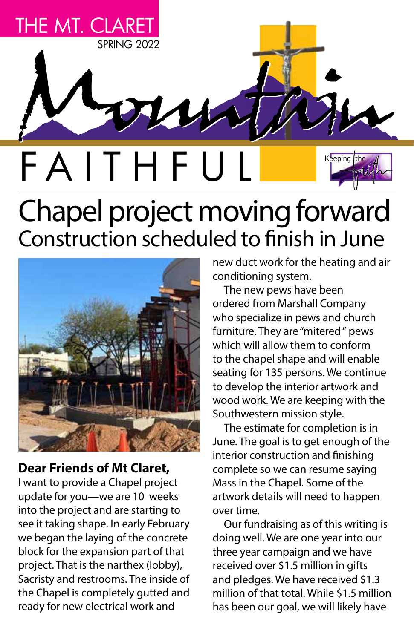

# Construction scheduled to finish in June



# **Dear Friends of Mt Claret,**

I want to provide a Chapel project update for you—we are 10 weeks into the project and are starting to see it taking shape. In early February we began the laying of the concrete block for the expansion part of that project. That is the narthex (lobby), Sacristy and restrooms. The inside of the Chapel is completely gutted and ready for new electrical work and

new duct work for the heating and air conditioning system.

The new pews have been ordered from Marshall Company who specialize in pews and church furniture. They are "mitered " pews which will allow them to conform to the chapel shape and will enable seating for 135 persons. We continue to develop the interior artwork and wood work. We are keeping with the Southwestern mission style.

The estimate for completion is in June. The goal is to get enough of the interior construction and finishing complete so we can resume saying Mass in the Chapel. Some of the artwork details will need to happen over time.

Our fundraising as of this writing is doing well. We are one year into our three year campaign and we have received over \$1.5 million in gifts and pledges. We have received \$1.3 million of that total. While \$1.5 million has been our goal, we will likely have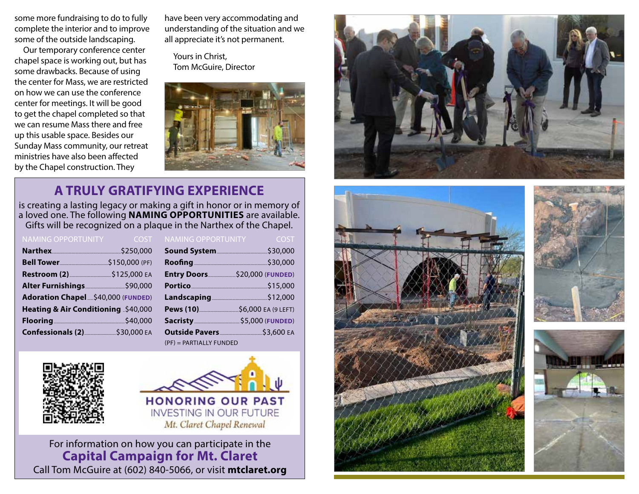some more fundraising to do to fully complete the interior and to improve some of the outside landscaping.

Our temporary conference center chapel space is working out, but has some drawbacks. Because of using the center for Mass, we are restricted on how we can use the conference center for meetings. It will be good to get the chapel completed so that we can resume Mass there and free up this usable space. Besides our Sunday Mass community, our retreat ministries have also been affected by the Chapel construction. They

have been very accommodating and understanding of the situation and we all appreciate it's not permanent.

Yours in Christ, Tom McGuire, Director



# **A TRULY GRATIFYING EXPERIENCE**

is creating a lasting legacy or making a gift in honor or in memory of a loved one. The following **NAMING OPPORTUNITIES** are available. Gifts will be recognized on a plaque in the Narthex of the Chapel.

| <b>NAMING OPPORTUNITY</b>                      | <b>Example COST</b> |  |
|------------------------------------------------|---------------------|--|
| Narthex \$250,000                              |                     |  |
|                                                |                     |  |
|                                                |                     |  |
| Alter Furnishings 390,000                      |                     |  |
| Adoration Chapel  \$40,000 (FUNDED)            |                     |  |
| Heating & Air Conditioning \$40,000            |                     |  |
|                                                |                     |  |
| Confessionals (2) ________________ \$30,000 EA |                     |  |

| <b>NAMING OPPORTUNITY</b>                                                                                            | <b>Example 2005T</b> |
|----------------------------------------------------------------------------------------------------------------------|----------------------|
| Sound System                                                                                                         | \$30,000             |
|                                                                                                                      | \$30,000             |
|                                                                                                                      |                      |
| Portico                                                                                                              |                      |
|                                                                                                                      |                      |
|                                                                                                                      |                      |
| Sacristy 55,000 (FUNDED)                                                                                             |                      |
| <b>Outside Pavers [2016   2016   2016   2016   2016   2016   2016   2016   2016   2016   2016   2016   2016   20</b> |                      |
| (PF) = PARTIALLY FUNDED                                                                                              |                      |





For information on how you can participate in the **Capital Campaign for Mt. Claret** Call Tom McGuire at (602) 840-5066, or visit **mtclaret.org**







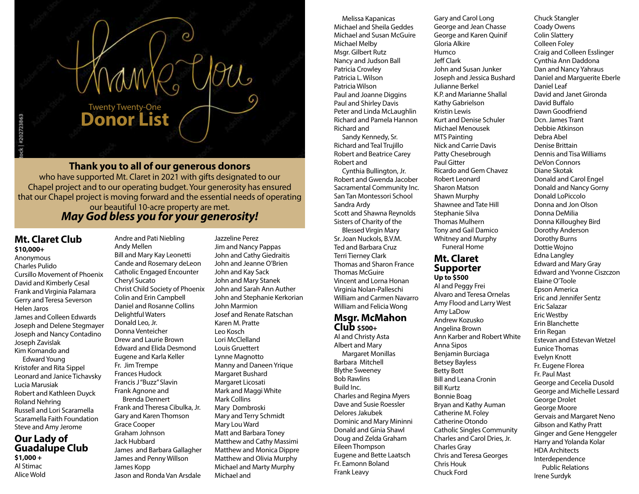

### **Thank you to all of our generous donors**

who have supported Mt. Claret in 2021 with gifts designated to our Chapel project and to our operating budget. Your generosity has ensured that our Chapel project is moving forward and the essential needs of operating

#### our beautiful 10-acre property are met. *May God bless you for your generosity!*

#### **Mt. Claret Club \$10,000+**

Anonymous Charles Pulido Cursillo Movement of Phoenix David and Kimberly Cesal Frank and Virginia Palamara Gerry and Teresa Severson Helen Jaros James and Colleen Edwards Joseph and Delene Stegmayer Joseph and Nancy Contadino Joseph Zavislak Kim Komando and

Edward Young Kristofer and Rita Sippel Leonard and Janice Tichavsky Lucia Marusiak Robert and Kathleen Duyck Roland Nehring Russell and Lori Scaramella Scaramella Faith Foundation Steve and Amy Jerome

#### **Our Lady of Guadalupe Club \$1,000 +**  Al Stimac Alice Wold

Andre and Pati Niebling Andy Mellen Bill and Mary Kay Leonetti Cande and Rosemary deLeon Catholic Engaged Encounter Cheryl Sucato Christ Child Society of Phoenix Colin and Erin Campbell Daniel and Rosanne Collins Delightful Waters Donald Leo, Jr. Donna Venteicher Drew and Laurie Brown Edward and Elida Desmond Eugene and Karla Keller Fr. Jim Trempe Frances Hudock Francis J "Buzz" Slavin Frank Agnone and Brenda Dennert Frank and Theresa Cibulka, Jr. Gary and Karen Thomson Grace Cooper Graham Johnson Jack Hubbard James and Barbara Gallagher James and Penny Willson James Kopp Jason and Ronda Van Arsdale

Jazzeline Perez Jim and Nancy Pappas John and Cathy Giedraitis John and Jeanne O'Brien John and Kay Sack John and Mary Stanek John and Sarah Ann Auther John and Stephanie Kerkorian John Marmion Josef and Renate Ratschan Karen M. Pratte Leo Kosch Lori McClelland Louis Gruettert Lynne Magnotto Manny and Daneen Yrique Margaret Bushard Margaret Licosati Mark and Maggi White Mark Collins Mary Dombroski Mary and Terry Schmidt Mary Lou Ward Matt and Barbara Toney Matthew and Cathy Massimi Matthew and Monica Dippre Matthew and Olivia Murphy Michael and Marty Murphy Michael and

Melissa Kapanicas Michael and Sheila Geddes Michael and Susan McGuire Michael Melby Msgr. Gilbert Rutz Nancy and Judson Ball Patricia Crowley Patricia L. Wilson Patricia Wilson Paul and Joanne Diggins Paul and Shirley Davis Peter and Linda McLaughlin Richard and Pamela Hannon Richard and

Sandy Kennedy, Sr. Richard and Teal Trujillo Robert and Beatrice Carey Robert and

Cynthia Bullington, Jr. Robert and Gwenda Jacober Sacramental Community Inc. San Tan Montessori School Sandra Ardy Scott and Shawna Reynolds Sisters of Charity of the

Blessed Virgin Mary Sr. Joan Nuckols, B.V.M. Ted and Barbara Cruz Terri Tierney Clark Thomas and Sharon France Thomas McGuire Vincent and Lorna Honan Virginia Nolan-Palleschi William and Carmen Navarro William and Felicia Wong

#### **Msgr. McMahon Club \$500+**

Al and Christy Asta Albert and Mary Margaret Monillas Barbara Mitchell Blythe Sweeney Bob Rawlins Build Inc. Charles and Regina Myers Dave and Susie Roessler Delores Jakubek Dominic and Mary Mininni Donald and Ginia Shawl Doug and Zelda Graham Eileen Thompson Eugene and Bette Laatsch Fr. Eamonn Boland Frank Leavy

Gary and Carol Long George and Jean Chasse George and Karen Quinif Gloria Alkire Humco Jeff Clark John and Susan Junker Joseph and Jessica Bushard Julianne Berkel K.P. and Marianne Shallal Kathy Gabrielson Kristin Lewis Kurt and Denise Schuler Michael Menousek MTS Painting Nick and Carrie Davis Patty Chesebrough Paul Gitter Ricardo and Gem Chavez Robert Leonard Sharon Matson Shawn Murphy Shawnee and Tate Hill Stephanie Silva Thomas Mulhern Tony and Gail Damico Whitney and Murphy

#### **Mt. Claret Supporter Up to \$500**

Funeral Home

Al and Peggy Frei Alvaro and Teresa Ornelas Amy Flood and Larry West Amy LaDow Andrew Kozusko Angelina Brown Ann Karber and Robert White Anna Sipos Benjamin Burciaga Betsey Bayless Betty Bott Bill and Leana Cronin Bill Kurtz Bonnie Boag Bryan and Kathy Auman Catherine M. Foley Catherine Otondo Catholic Singles Community Charles and Carol Dries, Jr. Charles Gray Chris and Teresa Georges Chris Houk Chuck Ford

Coady Owens Colin Slattery Colleen Foley Craig and Colleen Esslinger Cynthia Ann Daddona Dan and Nancy Yahraus Daniel and Marguerite Eberle Daniel Leaf David and Janet Gironda David Buffalo Dawn Goodfriend Dcn. James Trant Debbie Atkinson Debra Abel Denise Brittain Dennis and Tisa Williams DeVon Connors Diane Skotak Donald and Carol Engel Donald and Nancy Gorny Donald LoPiccolo Donna and Jon Olson Donna DeMilia Donna Killoughey Bird Dorothy Anderson Dorothy Burns Dottie Wojno Edna Langley Edward and Mary Gray Edward and Yvonne Ciszczon Elaine O'Toole Epson America Eric and Jennifer Sentz Eric Salazar Eric Westby Erin Blanchette Erin Regan Estevan and Estevan Wetzel Eunice Thomas Evelyn Knott Fr. Eugene Florea Fr. Paul Mast George and Cecelia Dusold George and Michelle Lessard George Drolet George Moore Gervais and Margaret Neno Gibson and Kathy Pratt Ginger and Gene Henggeler Harry and Yolanda Kolar HDA Architects Interdependence Public Relations Irene Surdyk

Chuck Stangler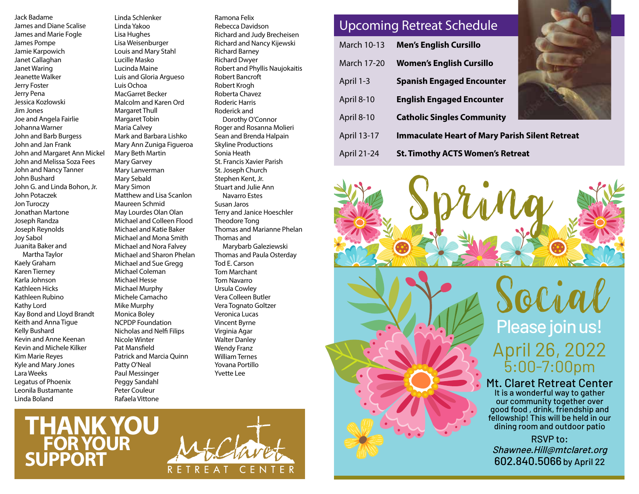Jack Badame James and Diane Scalise James and Marie Fogle James Pompe Jamie Karpowich Janet Callaghan Janet Waring Jeanette Walker Jerry Foster Jerry Pena Jessica Kozlowski Jim Jones Joe and Angela Fairlie Johanna Warner John and Barb Burgess John and Jan Frank John and Margaret Ann Mickel John and Melissa Soza Fees John and Nancy Tanner John Bushard John G. and Linda Bohon, Jr. John Potaczek Jon Turoczy Jonathan Martone Joseph Randza Joseph Reynolds Joy Sabol Juanita Baker and Martha Taylor Kaely Graham Karen Tierney Karla Johnson Kathleen Hicks Kathleen Rubino Kathy Lord Kay Bond and Lloyd Brandt Keith and Anna Tigue Kelly Bushard Kevin and Anne Keenan Kevin and Michele Kilker Kim Marie Reyes Kyle and Mary Jones Lara Weeks Legatus of Phoenix Leonila Bustamante Linda Boland

Linda Schlenker Linda Yakoo Lisa Hughes Lisa Weisenburger Louis and Mary Stahl Lucille Masko Lucinda Maine Luis and Gloria Argueso Luis Ochoa MacGarret Becker Malcolm and Karen Ord Margaret Thull Margaret Tobin Maria Calvey Mark and Barbara Lishko Mary Ann Zuniga Figueroa Mary Beth Martin Mary Garvey Mary Lanverman Mary Sebald Mary Simon Matthew and Lisa Scanlon Maureen Schmid May Lourdes Olan Olan Michael and Colleen Flood Michael and Katie Baker Michael and Mona Smith Michael and Nora Falvey Michael and Sharon Phelan Michael and Sue Gregg Michael Coleman Michael Hesse Michael Murphy Michele Camacho Mike Murphy Monica Boley NCPDP Foundation Nicholas and Nelfi Filips Nicole Winter Pat Mansfield Patrick and Marcia Quinn Patty O'Neal Paul Messinger Peggy Sandahl Peter Couleur Rafaela Vittone

Ramona Felix Rebecca Davidson Richard and Judy Brecheisen Richard and Nancy Kijewski Richard Barney Richard Dwyer Robert and Phyllis Naujokaitis Robert Bancroft Robert Krogh Roberta Chavez Roderic Harris Roderick and Dorothy O'Connor Roger and Rosanna Molieri Sean and Brenda Halpain Skyline Productions Sonia Heath St. Francis Xavier Parish St. Joseph Church Stephen Kent, Jr. Stuart and Julie Ann Navarro Estes Susan Jaros Terry and Janice Hoeschler Theodore Tong Thomas and Marianne Phelan Thomas and Marybarb Galeziewski Thomas and Paula Osterday Tod E. Carson Tom Marchant Tom Navarro Ursula Cowley Vera Colleen Butler Vera Tognato Goltzer Veronica Lucas Vincent Byrne Virginia Agar Walter Danley Wendy Franz William Ternes Yovana Portillo Yvette Lee

|                    | <b>Upcoming Retreat Schedule</b>                      |  |
|--------------------|-------------------------------------------------------|--|
| March 10-13        | <b>Men's English Cursillo</b>                         |  |
| <b>March 17-20</b> | <b>Women's English Cursillo</b>                       |  |
| April 1-3          | <b>Spanish Engaged Encounter</b>                      |  |
| April 8-10         | <b>English Engaged Encounter</b>                      |  |
| April 8-10         | <b>Catholic Singles Community</b>                     |  |
| April 13-17        | <b>Immaculate Heart of Mary Parish Silent Retreat</b> |  |
| April 21-24        | <b>St. Timothy ACTS Women's Retreat</b>               |  |



Please join us! April 26, 2022 5:00-7:00pm Social

## Mt. Claret Retreat Center

It is a wonderful way to gather our community together over good food , drink, friendship and fellowship! This will be held in our dining room and outdoor patio

RSVP to: Shawnee.Hill@mtclaret.org 602.840.5066 by April 22